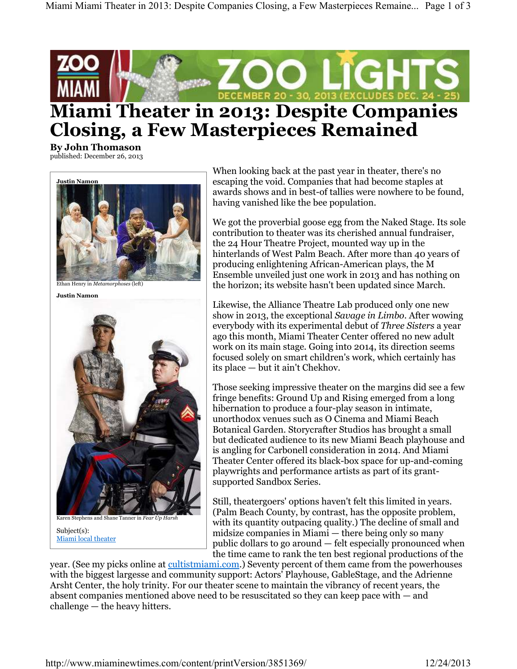

## **Closing, a Few Masterpieces Remained**

**By John Thomason** published: December 26, 2013



Ethan Henry in *Metamorphoses* (left)

**Justin Namon**



Subject(s): Miami local theater

When looking back at the past year in theater, there's no escaping the void. Companies that had become staples at awards shows and in best-of tallies were nowhere to be found, having vanished like the bee population.

We got the proverbial goose egg from the Naked Stage. Its sole contribution to theater was its cherished annual fundraiser, the 24 Hour Theatre Project, mounted way up in the hinterlands of West Palm Beach. After more than 40 years of producing enlightening African-American plays, the M Ensemble unveiled just one work in 2013 and has nothing on the horizon; its website hasn't been updated since March.

Likewise, the Alliance Theatre Lab produced only one new show in 2013, the exceptional *Savage in Limbo*. After wowing everybody with its experimental debut of *Three Sisters* a year ago this month, Miami Theater Center offered no new adult work on its main stage. Going into 2014, its direction seems focused solely on smart children's work, which certainly has its place — but it ain't Chekhov.

Those seeking impressive theater on the margins did see a few fringe benefits: Ground Up and Rising emerged from a long hibernation to produce a four-play season in intimate, unorthodox venues such as O Cinema and Miami Beach Botanical Garden. Storycrafter Studios has brought a small but dedicated audience to its new Miami Beach playhouse and is angling for Carbonell consideration in 2014. And Miami Theater Center offered its black-box space for up-and-coming playwrights and performance artists as part of its grantsupported Sandbox Series.

Still, theatergoers' options haven't felt this limited in years. (Palm Beach County, by contrast, has the opposite problem, with its quantity outpacing quality.) The decline of small and midsize companies in Miami — there being only so many public dollars to go around — felt especially pronounced when the time came to rank the ten best regional productions of the

year. (See my picks online at cultistmiami.com.) Seventy percent of them came from the powerhouses with the biggest largesse and community support: Actors' Playhouse, GableStage, and the Adrienne Arsht Center, the holy trinity. For our theater scene to maintain the vibrancy of recent years, the absent companies mentioned above need to be resuscitated so they can keep pace with — and challenge — the heavy hitters.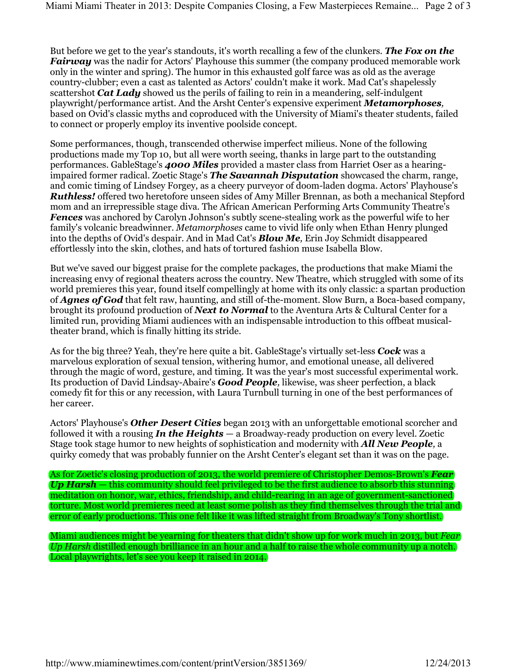But before we get to the year's standouts, it's worth recalling a few of the clunkers. *The Fox on the Fairway* was the nadir for Actors' Playhouse this summer (the company produced memorable work only in the winter and spring). The humor in this exhausted golf farce was as old as the average country-clubber; even a cast as talented as Actors' couldn't make it work. Mad Cat's shapelessly scattershot *Cat Lady* showed us the perils of failing to rein in a meandering, self-indulgent playwright/performance artist. And the Arsht Center's expensive experiment *Metamorphoses,* based on Ovid's classic myths and coproduced with the University of Miami's theater students, failed to connect or properly employ its inventive poolside concept.

Some performances, though, transcended otherwise imperfect milieus. None of the following productions made my Top 10, but all were worth seeing, thanks in large part to the outstanding performances. GableStage's *4000 Miles* provided a master class from Harriet Oser as a hearingimpaired former radical. Zoetic Stage's *The Savannah Disputation* showcased the charm, range, and comic timing of Lindsey Forgey, as a cheery purveyor of doom-laden dogma. Actors' Playhouse's *Ruthless!* offered two heretofore unseen sides of Amy Miller Brennan, as both a mechanical Stepford mom and an irrepressible stage diva. The African American Performing Arts Community Theatre's *Fences* was anchored by Carolyn Johnson's subtly scene-stealing work as the powerful wife to her family's volcanic breadwinner. *Metamorphoses* came to vivid life only when Ethan Henry plunged into the depths of Ovid's despair. And in Mad Cat's *Blow Me,* Erin Joy Schmidt disappeared effortlessly into the skin, clothes, and hats of tortured fashion muse Isabella Blow.

But we've saved our biggest praise for the complete packages, the productions that make Miami the increasing envy of regional theaters across the country. New Theatre, which struggled with some of its world premieres this year, found itself compellingly at home with its only classic: a spartan production of *Agnes of God* that felt raw, haunting, and still of-the-moment. Slow Burn, a Boca-based company, brought its profound production of *Next to Normal* to the Aventura Arts & Cultural Center for a limited run, providing Miami audiences with an indispensable introduction to this offbeat musicaltheater brand, which is finally hitting its stride.

As for the big three? Yeah, they're here quite a bit. GableStage's virtually set-less *Cock* was a marvelous exploration of sexual tension, withering humor, and emotional unease, all delivered through the magic of word, gesture, and timing. It was the year's most successful experimental work. Its production of David Lindsay-Abaire's *Good People,* likewise, was sheer perfection, a black comedy fit for this or any recession, with Laura Turnbull turning in one of the best performances of her career.

Actors' Playhouse's *Other Desert Cities* began 2013 with an unforgettable emotional scorcher and followed it with a rousing *In the Heights* — a Broadway-ready production on every level. Zoetic Stage took stage humor to new heights of sophistication and modernity with *All New People,* a quirky comedy that was probably funnier on the Arsht Center's elegant set than it was on the page.

As for Zoetic's closing production of 2013, the world premiere of Christopher Demos-Brown's *Fear Up Harsh —* this community should feel privileged to be the first audience to absorb this stunning meditation on honor, war, ethics, friendship, and child-rearing in an age of government-sanctioned torture. Most world premieres need at least some polish as they find themselves through the trial and error of early productions. This one felt like it was lifted straight from Broadway's Tony shortlist.

Miami audiences might be yearning for theaters that didn't show up for work much in 2013, but *Fear Up Harsh* distilled enough brilliance in an hour and a half to raise the whole community up a notch. Local playwrights, let's see you keep it raised in 2014.